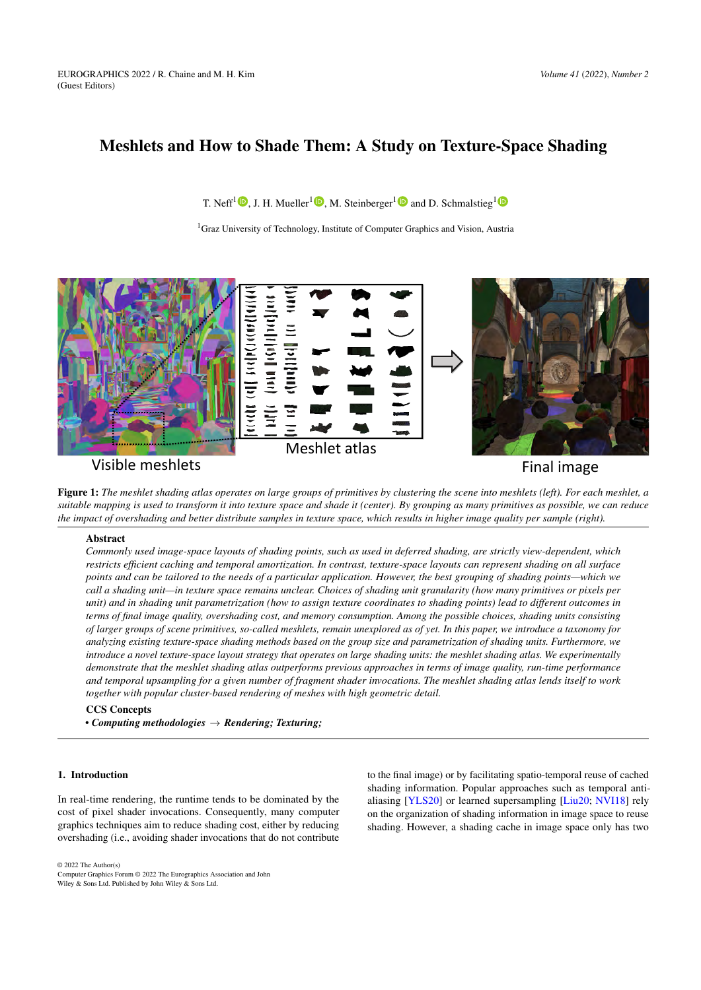# <span id="page-0-1"></span>Meshlets and How to Shade Them: A Study on Texture-Space Shading

T. Neff<sup>[1](https://orcid.org/0000-0003-2813-2235)</sup>  $\bigcirc$ [,](https://orcid.org/0000-0002-6368-6340) J. H. Mueller<sup>1</sup>  $\bigcirc$ , M. Steinberger<sup>1</sup>  $\bigcirc$  and D. Schmalstieg<sup>1</sup>

<sup>1</sup>Graz University of Technology, Institute of Computer Graphics and Vision, Austria



Final image

<span id="page-0-0"></span>Figure 1: *The meshlet shading atlas operates on large groups of primitives by clustering the scene into meshlets (left). For each meshlet, a suitable mapping is used to transform it into texture space and shade it (center). By grouping as many primitives as possible, we can reduce the impact of overshading and better distribute samples in texture space, which results in higher image quality per sample (right).*

## Abstract

*Commonly used image-space layouts of shading points, such as used in deferred shading, are strictly view-dependent, which restricts efficient caching and temporal amortization. In contrast, texture-space layouts can represent shading on all surface points and can be tailored to the needs of a particular application. However, the best grouping of shading points—which we call a shading unit—in texture space remains unclear. Choices of shading unit granularity (how many primitives or pixels per unit) and in shading unit parametrization (how to assign texture coordinates to shading points) lead to different outcomes in terms of final image quality, overshading cost, and memory consumption. Among the possible choices, shading units consisting of larger groups of scene primitives, so-called meshlets, remain unexplored as of yet. In this paper, we introduce a taxonomy for analyzing existing texture-space shading methods based on the group size and parametrization of shading units. Furthermore, we introduce a novel texture-space layout strategy that operates on large shading units: the meshlet shading atlas. We experimentally demonstrate that the meshlet shading atlas outperforms previous approaches in terms of image quality, run-time performance and temporal upsampling for a given number of fragment shader invocations. The meshlet shading atlas lends itself to work together with popular cluster-based rendering of meshes with high geometric detail.*

CCS Concepts *• Computing methodologies* → *Rendering; Texturing;*

#### 1. Introduction

In real-time rendering, the runtime tends to be dominated by the cost of pixel shader invocations. Consequently, many computer graphics techniques aim to reduce shading cost, either by reducing overshading (i.e., avoiding shader invocations that do not contribute

to the final image) or by facilitating spatio-temporal reuse of cached shading information. Popular approaches such as temporal antialiasing [\[YLS20\]](#page-10-0) or learned supersampling [\[Liu20;](#page-10-1) [NVI18\]](#page-10-2) rely on the organization of shading information in image space to reuse shading. However, a shading cache in image space only has two

© 2022 The Author(s)

Computer Graphics Forum © 2022 The Eurographics Association and John Wiley & Sons Ltd. Published by John Wiley & Sons Ltd.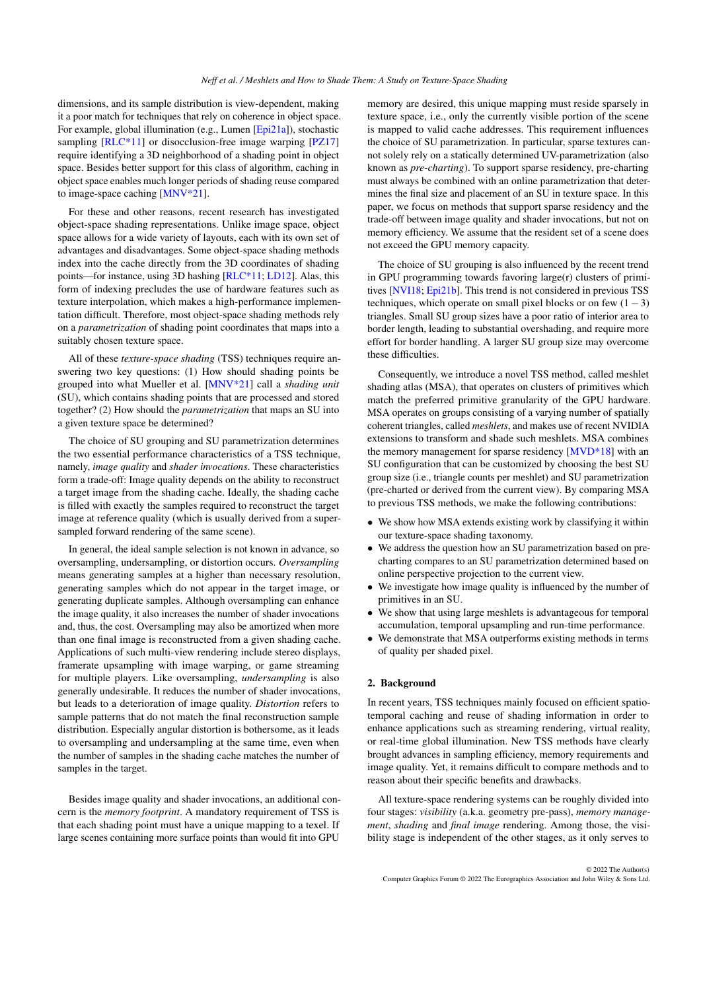<span id="page-1-1"></span>dimensions, and its sample distribution is view-dependent, making it a poor match for techniques that rely on coherence in object space. For example, global illumination (e.g., Lumen [\[Epi21a\]](#page-10-3)), stochastic sampling [RLC<sup>\*</sup>11] or disocclusion-free image warping [\[PZ17\]](#page-10-5) require identifying a 3D neighborhood of a shading point in object space. Besides better support for this class of algorithm, caching in object space enables much longer periods of shading reuse compared to image-space caching [\[MNV\\*21\]](#page-10-6).

For these and other reasons, recent research has investigated object-space shading representations. Unlike image space, object space allows for a wide variety of layouts, each with its own set of advantages and disadvantages. Some object-space shading methods index into the cache directly from the 3D coordinates of shading points—for instance, using 3D hashing [\[RLC\\*11;](#page-10-4) [LD12\]](#page-10-7). Alas, this form of indexing precludes the use of hardware features such as texture interpolation, which makes a high-performance implementation difficult. Therefore, most object-space shading methods rely on a *parametrization* of shading point coordinates that maps into a suitably chosen texture space.

All of these *texture-space shading* (TSS) techniques require answering two key questions: (1) How should shading points be grouped into what Mueller et al. [\[MNV\\*21\]](#page-10-6) call a *shading unit* (SU), which contains shading points that are processed and stored together? (2) How should the *parametrization* that maps an SU into a given texture space be determined?

The choice of SU grouping and SU parametrization determines the two essential performance characteristics of a TSS technique, namely, *image quality* and *shader invocations*. These characteristics form a trade-off: Image quality depends on the ability to reconstruct a target image from the shading cache. Ideally, the shading cache is filled with exactly the samples required to reconstruct the target image at reference quality (which is usually derived from a supersampled forward rendering of the same scene).

In general, the ideal sample selection is not known in advance, so oversampling, undersampling, or distortion occurs. *Oversampling* means generating samples at a higher than necessary resolution, generating samples which do not appear in the target image, or generating duplicate samples. Although oversampling can enhance the image quality, it also increases the number of shader invocations and, thus, the cost. Oversampling may also be amortized when more than one final image is reconstructed from a given shading cache. Applications of such multi-view rendering include stereo displays, framerate upsampling with image warping, or game streaming for multiple players. Like oversampling, *undersampling* is also generally undesirable. It reduces the number of shader invocations, but leads to a deterioration of image quality. *Distortion* refers to sample patterns that do not match the final reconstruction sample distribution. Especially angular distortion is bothersome, as it leads to oversampling and undersampling at the same time, even when the number of samples in the shading cache matches the number of samples in the target.

Besides image quality and shader invocations, an additional concern is the *memory footprint*. A mandatory requirement of TSS is that each shading point must have a unique mapping to a texel. If large scenes containing more surface points than would fit into GPU

memory are desired, this unique mapping must reside sparsely in texture space, i.e., only the currently visible portion of the scene is mapped to valid cache addresses. This requirement influences the choice of SU parametrization. In particular, sparse textures cannot solely rely on a statically determined UV-parametrization (also known as *pre-charting*). To support sparse residency, pre-charting must always be combined with an online parametrization that determines the final size and placement of an SU in texture space. In this paper, we focus on methods that support sparse residency and the trade-off between image quality and shader invocations, but not on memory efficiency. We assume that the resident set of a scene does not exceed the GPU memory capacity.

The choice of SU grouping is also influenced by the recent trend in GPU programming towards favoring large(r) clusters of primitives [\[NVI18;](#page-10-2) [Epi21b\]](#page-10-8). This trend is not considered in previous TSS techniques, which operate on small pixel blocks or on few  $(1-3)$ triangles. Small SU group sizes have a poor ratio of interior area to border length, leading to substantial overshading, and require more effort for border handling. A larger SU group size may overcome these difficulties.

Consequently, we introduce a novel TSS method, called meshlet shading atlas (MSA), that operates on clusters of primitives which match the preferred primitive granularity of the GPU hardware. MSA operates on groups consisting of a varying number of spatially coherent triangles, called *meshlets*, and makes use of recent NVIDIA extensions to transform and shade such meshlets. MSA combines the memory management for sparse residency [\[MVD\\*18\]](#page-10-9) with an SU configuration that can be customized by choosing the best SU group size (i.e., triangle counts per meshlet) and SU parametrization (pre-charted or derived from the current view). By comparing MSA to previous TSS methods, we make the following contributions:

- We show how MSA extends existing work by classifying it within our texture-space shading taxonomy.
- We address the question how an SU parametrization based on precharting compares to an SU parametrization determined based on online perspective projection to the current view.
- We investigate how image quality is influenced by the number of primitives in an SU.
- We show that using large meshlets is advantageous for temporal accumulation, temporal upsampling and run-time performance.
- We demonstrate that MSA outperforms existing methods in terms of quality per shaded pixel.

#### <span id="page-1-0"></span>2. Background

In recent years, TSS techniques mainly focused on efficient spatiotemporal caching and reuse of shading information in order to enhance applications such as streaming rendering, virtual reality, or real-time global illumination. New TSS methods have clearly brought advances in sampling efficiency, memory requirements and image quality. Yet, it remains difficult to compare methods and to reason about their specific benefits and drawbacks.

All texture-space rendering systems can be roughly divided into four stages: *visibility* (a.k.a. geometry pre-pass), *memory management*, *shading* and *final image* rendering. Among those, the visibility stage is independent of the other stages, as it only serves to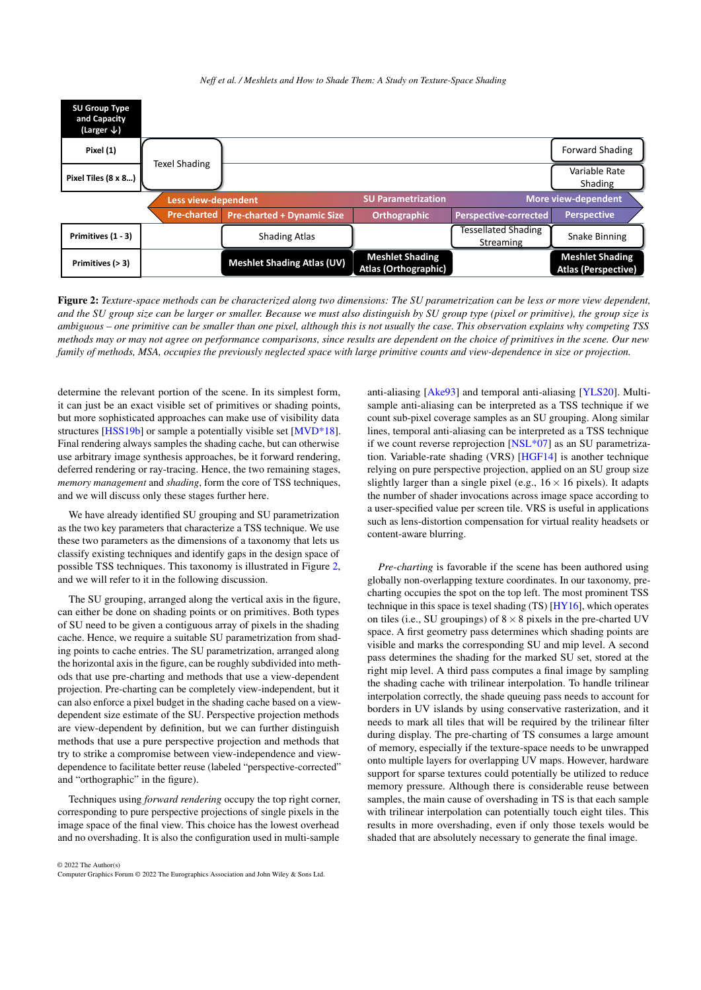#### *Neff et al. / Meshlets and How to Shade Them: A Study on Texture-Space Shading*

<span id="page-2-1"></span><span id="page-2-0"></span>

Figure 2: *Texture-space methods can be characterized along two dimensions: The SU parametrization can be less or more view dependent, and the SU group size can be larger or smaller. Because we must also distinguish by SU group type (pixel or primitive), the group size is ambiguous – one primitive can be smaller than one pixel, although this is not usually the case. This observation explains why competing TSS methods may or may not agree on performance comparisons, since results are dependent on the choice of primitives in the scene. Our new family of methods, MSA, occupies the previously neglected space with large primitive counts and view-dependence in size or projection.*

determine the relevant portion of the scene. In its simplest form, it can just be an exact visible set of primitives or shading points, but more sophisticated approaches can make use of visibility data structures [\[HSS19b\]](#page-10-10) or sample a potentially visible set [\[MVD\\*18\]](#page-10-9). Final rendering always samples the shading cache, but can otherwise use arbitrary image synthesis approaches, be it forward rendering, deferred rendering or ray-tracing. Hence, the two remaining stages, *memory management* and *shading*, form the core of TSS techniques, and we will discuss only these stages further here.

We have already identified SU grouping and SU parametrization as the two key parameters that characterize a TSS technique. We use these two parameters as the dimensions of a taxonomy that lets us classify existing techniques and identify gaps in the design space of possible TSS techniques. This taxonomy is illustrated in Figure [2,](#page-2-0) and we will refer to it in the following discussion.

The SU grouping, arranged along the vertical axis in the figure, can either be done on shading points or on primitives. Both types of SU need to be given a contiguous array of pixels in the shading cache. Hence, we require a suitable SU parametrization from shading points to cache entries. The SU parametrization, arranged along the horizontal axis in the figure, can be roughly subdivided into methods that use pre-charting and methods that use a view-dependent projection. Pre-charting can be completely view-independent, but it can also enforce a pixel budget in the shading cache based on a viewdependent size estimate of the SU. Perspective projection methods are view-dependent by definition, but we can further distinguish methods that use a pure perspective projection and methods that try to strike a compromise between view-independence and viewdependence to facilitate better reuse (labeled "perspective-corrected" and "orthographic" in the figure).

Techniques using *forward rendering* occupy the top right corner, corresponding to pure perspective projections of single pixels in the image space of the final view. This choice has the lowest overhead and no overshading. It is also the configuration used in multi-sample

© 2022 The Author(s) Computer Graphics Forum © 2022 The Eurographics Association and John Wiley & Sons Ltd. anti-aliasing [\[Ake93\]](#page-10-11) and temporal anti-aliasing [\[YLS20\]](#page-10-0). Multisample anti-aliasing can be interpreted as a TSS technique if we count sub-pixel coverage samples as an SU grouping. Along similar lines, temporal anti-aliasing can be interpreted as a TSS technique if we count reverse reprojection [\[NSL\\*07\]](#page-10-12) as an SU parametrization. Variable-rate shading (VRS) [\[HGF14\]](#page-10-13) is another technique relying on pure perspective projection, applied on an SU group size slightly larger than a single pixel (e.g.,  $16 \times 16$  pixels). It adapts the number of shader invocations across image space according to a user-specified value per screen tile. VRS is useful in applications such as lens-distortion compensation for virtual reality headsets or content-aware blurring.

*Pre-charting* is favorable if the scene has been authored using globally non-overlapping texture coordinates. In our taxonomy, precharting occupies the spot on the top left. The most prominent TSS technique in this space is texel shading (TS) [\[HY16\]](#page-10-14), which operates on tiles (i.e., SU groupings) of  $8 \times 8$  pixels in the pre-charted UV space. A first geometry pass determines which shading points are visible and marks the corresponding SU and mip level. A second pass determines the shading for the marked SU set, stored at the right mip level. A third pass computes a final image by sampling the shading cache with trilinear interpolation. To handle trilinear interpolation correctly, the shade queuing pass needs to account for borders in UV islands by using conservative rasterization, and it needs to mark all tiles that will be required by the trilinear filter during display. The pre-charting of TS consumes a large amount of memory, especially if the texture-space needs to be unwrapped onto multiple layers for overlapping UV maps. However, hardware support for sparse textures could potentially be utilized to reduce memory pressure. Although there is considerable reuse between samples, the main cause of overshading in TS is that each sample with trilinear interpolation can potentially touch eight tiles. This results in more overshading, even if only those texels would be shaded that are absolutely necessary to generate the final image.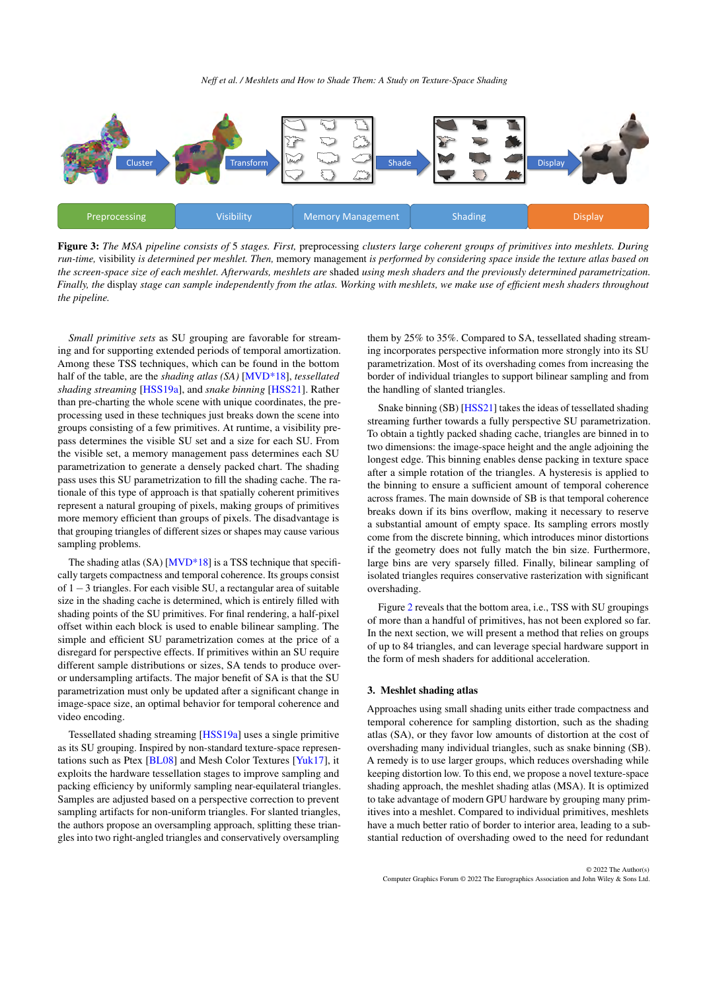<span id="page-3-2"></span><span id="page-3-0"></span>

Figure 3: *The MSA pipeline consists of* 5 *stages. First,* preprocessing *clusters large coherent groups of primitives into meshlets. During run-time,* visibility *is determined per meshlet. Then,* memory management *is performed by considering space inside the texture atlas based on the screen-space size of each meshlet. Afterwards, meshlets are* shaded *using mesh shaders and the previously determined parametrization. Finally, the* display *stage can sample independently from the atlas. Working with meshlets, we make use of efficient mesh shaders throughout the pipeline.*

*Small primitive sets* as SU grouping are favorable for streaming and for supporting extended periods of temporal amortization. Among these TSS techniques, which can be found in the bottom half of the table, are the *shading atlas (SA)* [\[MVD\\*18\]](#page-10-9), *tessellated shading streaming* [\[HSS19a\]](#page-10-15), and *snake binning* [\[HSS21\]](#page-10-16). Rather than pre-charting the whole scene with unique coordinates, the preprocessing used in these techniques just breaks down the scene into groups consisting of a few primitives. At runtime, a visibility prepass determines the visible SU set and a size for each SU. From the visible set, a memory management pass determines each SU parametrization to generate a densely packed chart. The shading pass uses this SU parametrization to fill the shading cache. The rationale of this type of approach is that spatially coherent primitives represent a natural grouping of pixels, making groups of primitives more memory efficient than groups of pixels. The disadvantage is that grouping triangles of different sizes or shapes may cause various sampling problems.

The shading atlas (SA) [\[MVD\\*18\]](#page-10-9) is a TSS technique that specifically targets compactness and temporal coherence. Its groups consist of 1−3 triangles. For each visible SU, a rectangular area of suitable size in the shading cache is determined, which is entirely filled with shading points of the SU primitives. For final rendering, a half-pixel offset within each block is used to enable bilinear sampling. The simple and efficient SU parametrization comes at the price of a disregard for perspective effects. If primitives within an SU require different sample distributions or sizes, SA tends to produce overor undersampling artifacts. The major benefit of SA is that the SU parametrization must only be updated after a significant change in image-space size, an optimal behavior for temporal coherence and video encoding.

Tessellated shading streaming [\[HSS19a\]](#page-10-15) uses a single primitive as its SU grouping. Inspired by non-standard texture-space representations such as Ptex [\[BL08\]](#page-10-17) and Mesh Color Textures [\[Yuk17\]](#page-10-18), it exploits the hardware tessellation stages to improve sampling and packing efficiency by uniformly sampling near-equilateral triangles. Samples are adjusted based on a perspective correction to prevent sampling artifacts for non-uniform triangles. For slanted triangles, the authors propose an oversampling approach, splitting these triangles into two right-angled triangles and conservatively oversampling

them by 25% to 35%. Compared to SA, tessellated shading streaming incorporates perspective information more strongly into its SU parametrization. Most of its overshading comes from increasing the border of individual triangles to support bilinear sampling and from the handling of slanted triangles.

Snake binning (SB) [\[HSS21\]](#page-10-16) takes the ideas of tessellated shading streaming further towards a fully perspective SU parametrization. To obtain a tightly packed shading cache, triangles are binned in to two dimensions: the image-space height and the angle adjoining the longest edge. This binning enables dense packing in texture space after a simple rotation of the triangles. A hysteresis is applied to the binning to ensure a sufficient amount of temporal coherence across frames. The main downside of SB is that temporal coherence breaks down if its bins overflow, making it necessary to reserve a substantial amount of empty space. Its sampling errors mostly come from the discrete binning, which introduces minor distortions if the geometry does not fully match the bin size. Furthermore, large bins are very sparsely filled. Finally, bilinear sampling of isolated triangles requires conservative rasterization with significant overshading.

Figure [2](#page-2-0) reveals that the bottom area, i.e., TSS with SU groupings of more than a handful of primitives, has not been explored so far. In the next section, we will present a method that relies on groups of up to 84 triangles, and can leverage special hardware support in the form of mesh shaders for additional acceleration.

## <span id="page-3-1"></span>3. Meshlet shading atlas

Approaches using small shading units either trade compactness and temporal coherence for sampling distortion, such as the shading atlas (SA), or they favor low amounts of distortion at the cost of overshading many individual triangles, such as snake binning (SB). A remedy is to use larger groups, which reduces overshading while keeping distortion low. To this end, we propose a novel texture-space shading approach, the meshlet shading atlas (MSA). It is optimized to take advantage of modern GPU hardware by grouping many primitives into a meshlet. Compared to individual primitives, meshlets have a much better ratio of border to interior area, leading to a substantial reduction of overshading owed to the need for redundant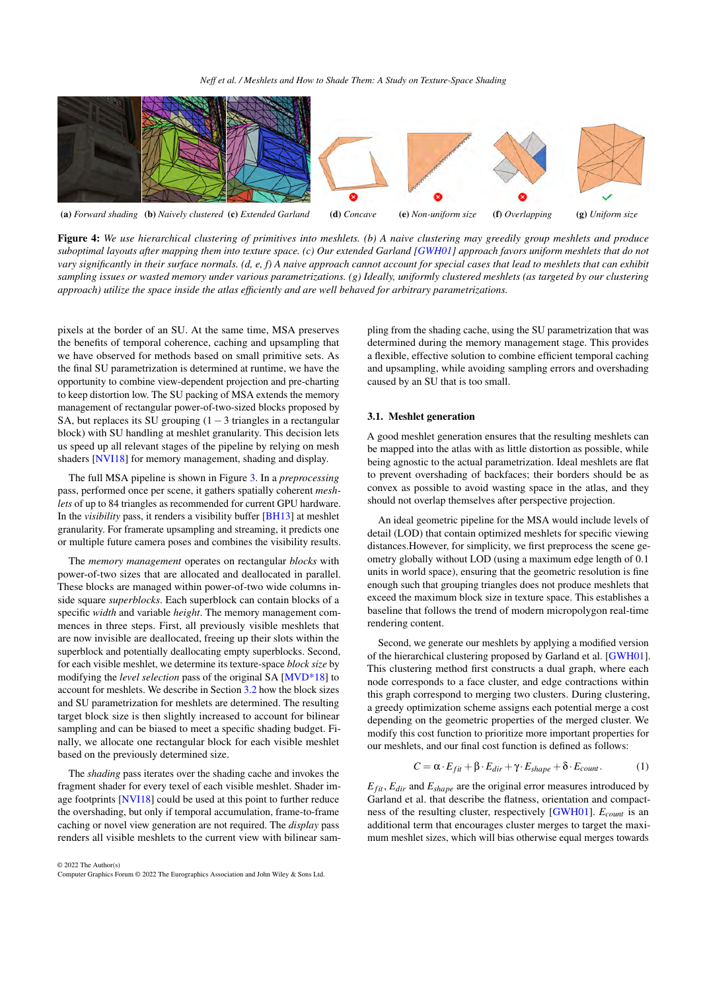<span id="page-4-1"></span><span id="page-4-0"></span>

Figure 4: *We use hierarchical clustering of primitives into meshlets. (b) A naive clustering may greedily group meshlets and produce suboptimal layouts after mapping them into texture space. (c) Our extended Garland [\[GWH01\]](#page-10-19) approach favors uniform meshlets that do not vary significantly in their surface normals. (d, e, f) A naive approach cannot account for special cases that lead to meshlets that can exhibit sampling issues or wasted memory under various parametrizations. (g) Ideally, uniformly clustered meshlets (as targeted by our clustering approach) utilize the space inside the atlas efficiently and are well behaved for arbitrary parametrizations.*

pixels at the border of an SU. At the same time, MSA preserves the benefits of temporal coherence, caching and upsampling that we have observed for methods based on small primitive sets. As the final SU parametrization is determined at runtime, we have the opportunity to combine view-dependent projection and pre-charting to keep distortion low. The SU packing of MSA extends the memory management of rectangular power-of-two-sized blocks proposed by SA, but replaces its SU grouping  $(1-3 \text{ triangles in a rectangular})$ block) with SU handling at meshlet granularity. This decision lets us speed up all relevant stages of the pipeline by relying on mesh shaders [\[NVI18\]](#page-10-2) for memory management, shading and display.

The full MSA pipeline is shown in Figure [3.](#page-3-0) In a *preprocessing* pass, performed once per scene, it gathers spatially coherent *meshlets* of up to 84 triangles as recommended for current GPU hardware. In the *visibility* pass, it renders a visibility buffer [\[BH13\]](#page-10-20) at meshlet granularity. For framerate upsampling and streaming, it predicts one or multiple future camera poses and combines the visibility results.

The *memory management* operates on rectangular *blocks* with power-of-two sizes that are allocated and deallocated in parallel. These blocks are managed within power-of-two wide columns inside square *superblocks*. Each superblock can contain blocks of a specific *width* and variable *height*. The memory management commences in three steps. First, all previously visible meshlets that are now invisible are deallocated, freeing up their slots within the superblock and potentially deallocating empty superblocks. Second, for each visible meshlet, we determine its texture-space *block size* by modifying the *level selection* pass of the original SA [\[MVD\\*18\]](#page-10-9) to account for meshlets. We describe in Section [3.2](#page-5-0) how the block sizes and SU parametrization for meshlets are determined. The resulting target block size is then slightly increased to account for bilinear sampling and can be biased to meet a specific shading budget. Finally, we allocate one rectangular block for each visible meshlet based on the previously determined size.

The *shading* pass iterates over the shading cache and invokes the fragment shader for every texel of each visible meshlet. Shader image footprints [\[NVI18\]](#page-10-2) could be used at this point to further reduce the overshading, but only if temporal accumulation, frame-to-frame caching or novel view generation are not required. The *display* pass renders all visible meshlets to the current view with bilinear sam-

© 2022 The Author(s) Computer Graphics Forum © 2022 The Eurographics Association and John Wiley & Sons Ltd. pling from the shading cache, using the SU parametrization that was determined during the memory management stage. This provides a flexible, effective solution to combine efficient temporal caching and upsampling, while avoiding sampling errors and overshading caused by an SU that is too small.

## 3.1. Meshlet generation

A good meshlet generation ensures that the resulting meshlets can be mapped into the atlas with as little distortion as possible, while being agnostic to the actual parametrization. Ideal meshlets are flat to prevent overshading of backfaces; their borders should be as convex as possible to avoid wasting space in the atlas, and they should not overlap themselves after perspective projection.

An ideal geometric pipeline for the MSA would include levels of detail (LOD) that contain optimized meshlets for specific viewing distances.However, for simplicity, we first preprocess the scene geometry globally without LOD (using a maximum edge length of 0.1 units in world space), ensuring that the geometric resolution is fine enough such that grouping triangles does not produce meshlets that exceed the maximum block size in texture space. This establishes a baseline that follows the trend of modern micropolygon real-time rendering content.

Second, we generate our meshlets by applying a modified version of the hierarchical clustering proposed by Garland et al. [\[GWH01\]](#page-10-19). This clustering method first constructs a dual graph, where each node corresponds to a face cluster, and edge contractions within this graph correspond to merging two clusters. During clustering, a greedy optimization scheme assigns each potential merge a cost depending on the geometric properties of the merged cluster. We modify this cost function to prioritize more important properties for our meshlets, and our final cost function is defined as follows:

$$
C = \alpha \cdot E_{fit} + \beta \cdot E_{dir} + \gamma \cdot E_{shape} + \delta \cdot E_{count}. \tag{1}
$$

 $E_{fit}$ ,  $E_{dir}$  and  $E_{shape}$  are the original error measures introduced by Garland et al. that describe the flatness, orientation and compactness of the resulting cluster, respectively [\[GWH01\]](#page-10-19). *Ecount* is an additional term that encourages cluster merges to target the maximum meshlet sizes, which will bias otherwise equal merges towards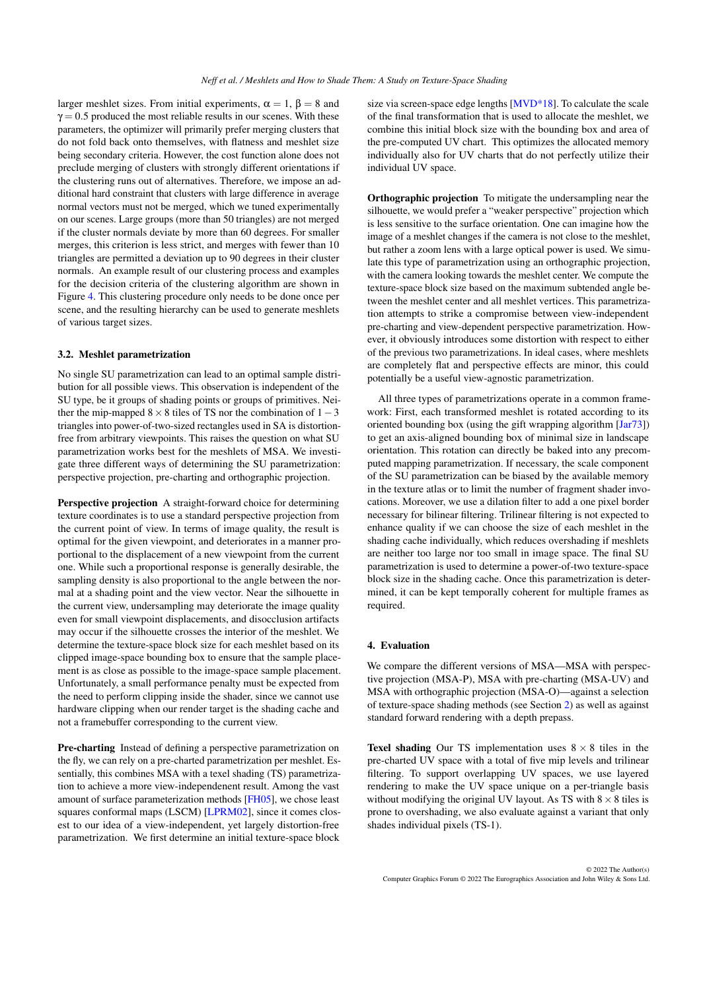<span id="page-5-2"></span>larger meshlet sizes. From initial experiments,  $\alpha = 1$ ,  $\beta = 8$  and  $\gamma = 0.5$  produced the most reliable results in our scenes. With these parameters, the optimizer will primarily prefer merging clusters that do not fold back onto themselves, with flatness and meshlet size being secondary criteria. However, the cost function alone does not preclude merging of clusters with strongly different orientations if the clustering runs out of alternatives. Therefore, we impose an additional hard constraint that clusters with large difference in average normal vectors must not be merged, which we tuned experimentally on our scenes. Large groups (more than 50 triangles) are not merged if the cluster normals deviate by more than 60 degrees. For smaller merges, this criterion is less strict, and merges with fewer than 10 triangles are permitted a deviation up to 90 degrees in their cluster normals. An example result of our clustering process and examples for the decision criteria of the clustering algorithm are shown in Figure [4.](#page-4-0) This clustering procedure only needs to be done once per scene, and the resulting hierarchy can be used to generate meshlets of various target sizes.

## <span id="page-5-0"></span>3.2. Meshlet parametrization

No single SU parametrization can lead to an optimal sample distribution for all possible views. This observation is independent of the SU type, be it groups of shading points or groups of primitives. Neither the mip-mapped  $8 \times 8$  tiles of TS nor the combination of  $1-3$ triangles into power-of-two-sized rectangles used in SA is distortionfree from arbitrary viewpoints. This raises the question on what SU parametrization works best for the meshlets of MSA. We investigate three different ways of determining the SU parametrization: perspective projection, pre-charting and orthographic projection.

Perspective projection A straight-forward choice for determining texture coordinates is to use a standard perspective projection from the current point of view. In terms of image quality, the result is optimal for the given viewpoint, and deteriorates in a manner proportional to the displacement of a new viewpoint from the current one. While such a proportional response is generally desirable, the sampling density is also proportional to the angle between the normal at a shading point and the view vector. Near the silhouette in the current view, undersampling may deteriorate the image quality even for small viewpoint displacements, and disocclusion artifacts may occur if the silhouette crosses the interior of the meshlet. We determine the texture-space block size for each meshlet based on its clipped image-space bounding box to ensure that the sample placement is as close as possible to the image-space sample placement. Unfortunately, a small performance penalty must be expected from the need to perform clipping inside the shader, since we cannot use hardware clipping when our render target is the shading cache and not a framebuffer corresponding to the current view.

Pre-charting Instead of defining a perspective parametrization on the fly, we can rely on a pre-charted parametrization per meshlet. Essentially, this combines MSA with a texel shading (TS) parametrization to achieve a more view-independenent result. Among the vast amount of surface parameterization methods [\[FH05\]](#page-10-21), we chose least squares conformal maps (LSCM) [\[LPRM02\]](#page-10-22), since it comes closest to our idea of a view-independent, yet largely distortion-free parametrization. We first determine an initial texture-space block size via screen-space edge lengths [\[MVD\\*18\]](#page-10-9). To calculate the scale of the final transformation that is used to allocate the meshlet, we combine this initial block size with the bounding box and area of the pre-computed UV chart. This optimizes the allocated memory individually also for UV charts that do not perfectly utilize their individual UV space.

Orthographic projection To mitigate the undersampling near the silhouette, we would prefer a "weaker perspective" projection which is less sensitive to the surface orientation. One can imagine how the image of a meshlet changes if the camera is not close to the meshlet, but rather a zoom lens with a large optical power is used. We simulate this type of parametrization using an orthographic projection, with the camera looking towards the meshlet center. We compute the texture-space block size based on the maximum subtended angle between the meshlet center and all meshlet vertices. This parametrization attempts to strike a compromise between view-independent pre-charting and view-dependent perspective parametrization. However, it obviously introduces some distortion with respect to either of the previous two parametrizations. In ideal cases, where meshlets are completely flat and perspective effects are minor, this could potentially be a useful view-agnostic parametrization.

All three types of parametrizations operate in a common framework: First, each transformed meshlet is rotated according to its oriented bounding box (using the gift wrapping algorithm [\[Jar73\]](#page-10-23)) to get an axis-aligned bounding box of minimal size in landscape orientation. This rotation can directly be baked into any precomputed mapping parametrization. If necessary, the scale component of the SU parametrization can be biased by the available memory in the texture atlas or to limit the number of fragment shader invocations. Moreover, we use a dilation filter to add a one pixel border necessary for bilinear filtering. Trilinear filtering is not expected to enhance quality if we can choose the size of each meshlet in the shading cache individually, which reduces overshading if meshlets are neither too large nor too small in image space. The final SU parametrization is used to determine a power-of-two texture-space block size in the shading cache. Once this parametrization is determined, it can be kept temporally coherent for multiple frames as required.

#### <span id="page-5-1"></span>4. Evaluation

We compare the different versions of MSA—MSA with perspective projection (MSA-P), MSA with pre-charting (MSA-UV) and MSA with orthographic projection (MSA-O)—against a selection of texture-space shading methods (see Section [2\)](#page-1-0) as well as against standard forward rendering with a depth prepass.

**Texel shading** Our TS implementation uses  $8 \times 8$  tiles in the pre-charted UV space with a total of five mip levels and trilinear filtering. To support overlapping UV spaces, we use layered rendering to make the UV space unique on a per-triangle basis without modifying the original UV layout. As TS with  $8 \times 8$  tiles is prone to overshading, we also evaluate against a variant that only shades individual pixels (TS-1).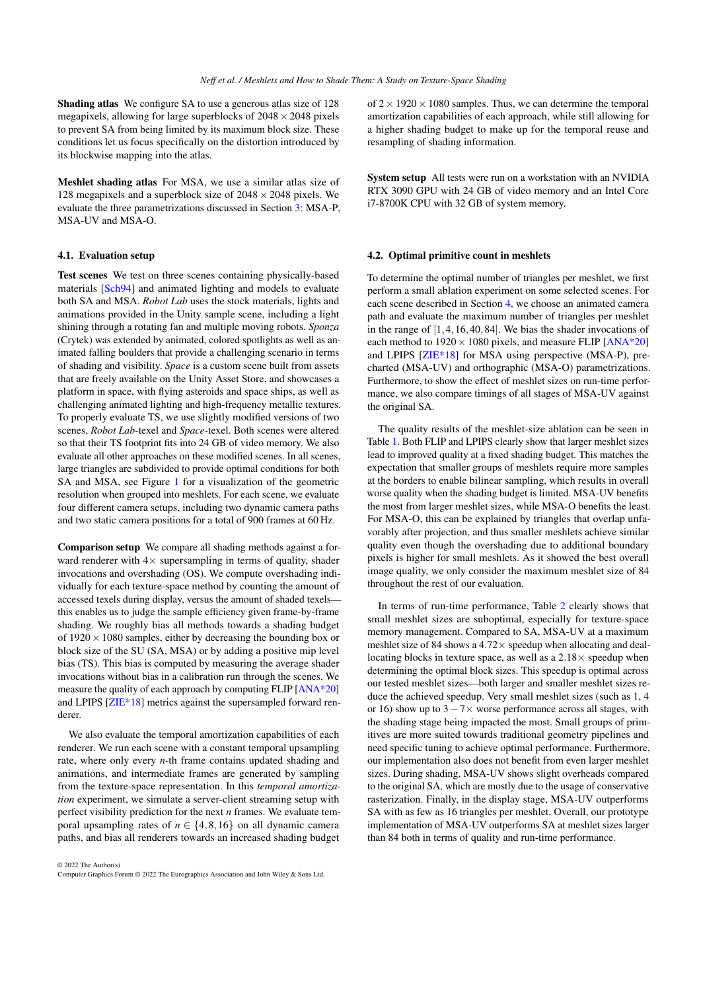<span id="page-6-0"></span>Shading atlas We configure SA to use a generous atlas size of 128 megapixels, allowing for large superblocks of  $2048 \times 2048$  pixels to prevent SA from being limited by its maximum block size. These conditions let us focus specifically on the distortion introduced by its blockwise mapping into the atlas.

Meshlet shading atlas For MSA, we use a similar atlas size of 128 megapixels and a superblock size of  $2048 \times 2048$  pixels. We evaluate the three parametrizations discussed in Section [3:](#page-3-1) MSA-P, MSA-UV and MSA-O.

## 4.1. Evaluation setup

Test scenes We test on three scenes containing physically-based materials [\[Sch94\]](#page-10-24) and animated lighting and models to evaluate both SA and MSA. *Robot Lab* uses the stock materials, lights and animations provided in the Unity sample scene, including a light shining through a rotating fan and multiple moving robots. *Sponza* (Crytek) was extended by animated, colored spotlights as well as animated falling boulders that provide a challenging scenario in terms of shading and visibility. *Space* is a custom scene built from assets that are freely available on the Unity Asset Store, and showcases a platform in space, with flying asteroids and space ships, as well as challenging animated lighting and high-frequency metallic textures. To properly evaluate TS, we use slightly modified versions of two scenes, *Robot Lab*-texel and *Space*-texel. Both scenes were altered so that their TS footprint fits into 24 GB of video memory. We also evaluate all other approaches on these modified scenes. In all scenes, large triangles are subdivided to provide optimal conditions for both SA and MSA, see Figure [1](#page-0-0) for a visualization of the geometric resolution when grouped into meshlets. For each scene, we evaluate four different camera setups, including two dynamic camera paths and two static camera positions for a total of 900 frames at 60 Hz.

Comparison setup We compare all shading methods against a forward renderer with  $4\times$  supersampling in terms of quality, shader invocations and overshading (OS). We compute overshading individually for each texture-space method by counting the amount of accessed texels during display, versus the amount of shaded texels this enables us to judge the sample efficiency given frame-by-frame shading. We roughly bias all methods towards a shading budget of  $1920 \times 1080$  samples, either by decreasing the bounding box or block size of the SU (SA, MSA) or by adding a positive mip level bias (TS). This bias is computed by measuring the average shader invocations without bias in a calibration run through the scenes. We measure the quality of each approach by computing FLIP [\[ANA\\*20\]](#page-10-25) and LPIPS [\[ZIE\\*18\]](#page-10-26) metrics against the supersampled forward renderer.

We also evaluate the temporal amortization capabilities of each renderer. We run each scene with a constant temporal upsampling rate, where only every *n*-th frame contains updated shading and animations, and intermediate frames are generated by sampling from the texture-space representation. In this *temporal amortization* experiment, we simulate a server-client streaming setup with perfect visibility prediction for the next *n* frames. We evaluate temporal upsampling rates of  $n \in \{4, 8, 16\}$  on all dynamic camera paths, and bias all renderers towards an increased shading budget

© 2022 The Author(s) Computer Graphics Forum © 2022 The Eurographics Association and John Wiley & Sons Ltd. of  $2 \times 1920 \times 1080$  samples. Thus, we can determine the temporal amortization capabilities of each approach, while still allowing for a higher shading budget to make up for the temporal reuse and resampling of shading information.

System setup All tests were run on a workstation with an NVIDIA RTX 3090 GPU with 24 GB of video memory and an Intel Core i7-8700K CPU with 32 GB of system memory.

#### 4.2. Optimal primitive count in meshlets

To determine the optimal number of triangles per meshlet, we first perform a small ablation experiment on some selected scenes. For each scene described in Section [4,](#page-5-1) we choose an animated camera path and evaluate the maximum number of triangles per meshlet in the range of [1,4,16,40,84]. We bias the shader invocations of each method to  $1920 \times 1080$  pixels, and measure FLIP [\[ANA\\*20\]](#page-10-25) and LPIPS [\[ZIE\\*18\]](#page-10-26) for MSA using perspective (MSA-P), precharted (MSA-UV) and orthographic (MSA-O) parametrizations. Furthermore, to show the effect of meshlet sizes on run-time performance, we also compare timings of all stages of MSA-UV against the original SA.

The quality results of the meshlet-size ablation can be seen in Table [1.](#page-7-0) Both FLIP and LPIPS clearly show that larger meshlet sizes lead to improved quality at a fixed shading budget. This matches the expectation that smaller groups of meshlets require more samples at the borders to enable bilinear sampling, which results in overall worse quality when the shading budget is limited. MSA-UV benefits the most from larger meshlet sizes, while MSA-O benefits the least. For MSA-O, this can be explained by triangles that overlap unfavorably after projection, and thus smaller meshlets achieve similar quality even though the overshading due to additional boundary pixels is higher for small meshlets. As it showed the best overall image quality, we only consider the maximum meshlet size of 84 throughout the rest of our evaluation.

In terms of run-time performance, Table [2](#page-7-1) clearly shows that small meshlet sizes are suboptimal, especially for texture-space memory management. Compared to SA, MSA-UV at a maximum meshlet size of 84 shows a  $4.72 \times$  speedup when allocating and deallocating blocks in texture space, as well as a  $2.18 \times$  speedup when determining the optimal block sizes. This speedup is optimal across our tested meshlet sizes—both larger and smaller meshlet sizes reduce the achieved speedup. Very small meshlet sizes (such as 1, 4 or 16) show up to  $3-7\times$  worse performance across all stages, with the shading stage being impacted the most. Small groups of primitives are more suited towards traditional geometry pipelines and need specific tuning to achieve optimal performance. Furthermore, our implementation also does not benefit from even larger meshlet sizes. During shading, MSA-UV shows slight overheads compared to the original SA, which are mostly due to the usage of conservative rasterization. Finally, in the display stage, MSA-UV outperforms SA with as few as 16 triangles per meshlet. Overall, our prototype implementation of MSA-UV outperforms SA at meshlet sizes larger than 84 both in terms of quality and run-time performance.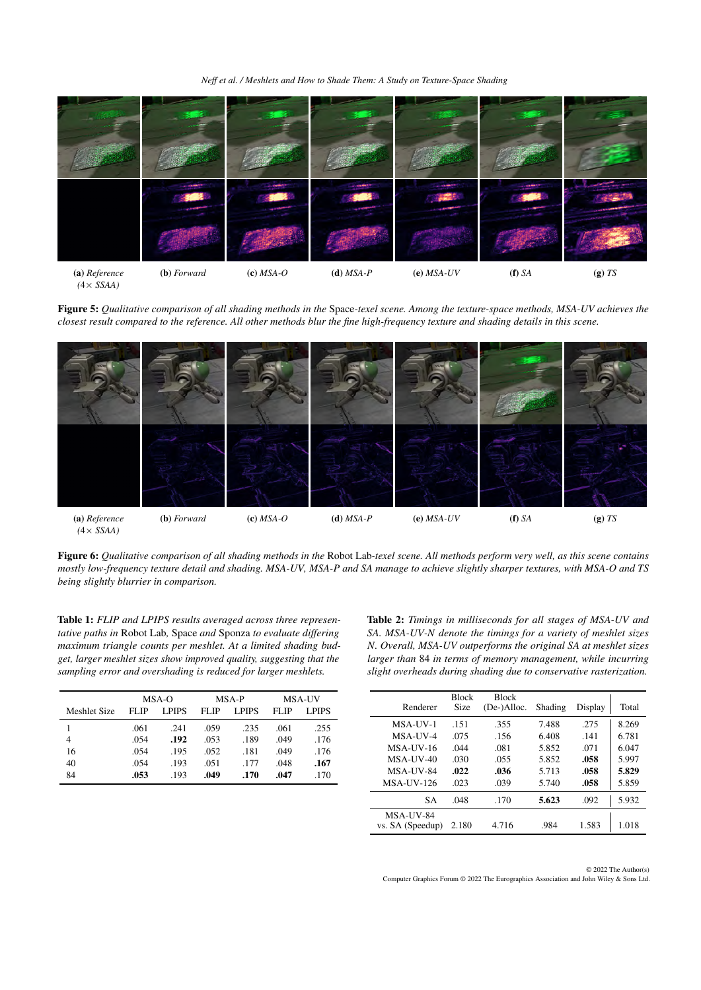*Neff et al. / Meshlets and How to Shade Them: A Study on Texture-Space Shading*

<span id="page-7-2"></span>

*(*4× *SSAA)*

Figure 5: Qualitative comparison of all shading methods in the Space-texel scene. Among the texture-space methods, MSA-UV achieves the *closest result compared to the reference. All other methods blur the fine high-frequency texture and shading details in this scene.*

<span id="page-7-3"></span>

Figure 6: *Qualitative comparison of all shading methods in the* Robot Lab*-texel scene. All methods perform very well, as this scene contains mostly low-frequency texture detail and shading. MSA-UV, MSA-P and SA manage to achieve slightly sharper textures, with MSA-O and TS being slightly blurrier in comparison.*

<span id="page-7-0"></span>Table 1: *FLIP and LPIPS results averaged across three representative paths in* Robot Lab*,* Space *and* Sponza *to evaluate differing maximum triangle counts per meshlet. At a limited shading budget, larger meshlet sizes show improved quality, suggesting that the sampling error and overshading is reduced for larger meshlets.*

|              |                      | MSA-O |             | MSA-P        | <b>MSA-UV</b> |        |  |
|--------------|----------------------|-------|-------------|--------------|---------------|--------|--|
| Meshlet Size | <b>LPIPS</b><br>FLIP |       | <b>FLIP</b> | <b>LPIPS</b> | <b>FLIP</b>   | L PIPS |  |
|              | .061                 | .241  | .059        | .235         | .061          | .255   |  |
| 4            | .054                 | .192  | .053        | .189         | .049          | .176   |  |
| 16           | .054                 | .195  | .052        | .181         | .049          | .176   |  |
| 40           | .054                 | .193  | .051        | .177         | .048          | .167   |  |
| 84           | .053                 | .193  | .049        | .170         | .047          | .170   |  |

<span id="page-7-1"></span>Table 2: *Timings in milliseconds for all stages of MSA-UV and SA. MSA-UV-N denote the timings for a variety of meshlet sizes N. Overall, MSA-UV outperforms the original SA at meshlet sizes larger than* 84 *in terms of memory management, while incurring slight overheads during shading due to conservative rasterization.*

| Renderer         | <b>Block</b><br>Size | <b>Block</b><br>(De-)Alloc. | Shading | Display | Total |
|------------------|----------------------|-----------------------------|---------|---------|-------|
| MSA-UV-1         | .151                 | .355                        | 7.488   | .275    | 8.269 |
| MSA-UV-4         | .075                 | .156                        | 6.408   | .141    | 6.781 |
| $MSA-UV-16$      | .044                 | .081                        | 5.852   | .071    | 6.047 |
| $MSA-UV-40$      | .030                 | .055                        | 5.852   | .058    | 5.997 |
| MSA-UV-84        | .022                 | .036                        | 5.713   | .058    | 5.829 |
| $MSA-UV-126$     | .023                 | .039                        | 5.740   | .058    | 5.859 |
| <b>SA</b>        | .048                 | .170                        | 5.623   | .092    | 5.932 |
| MSA-UV-84        |                      |                             |         |         |       |
| vs. SA (Speedup) | 2.180                | 4.716                       | .984    | 1.583   | 1.018 |

© 2022 The Author(s) Computer Graphics Forum © 2022 The Eurographics Association and John Wiley & Sons Ltd.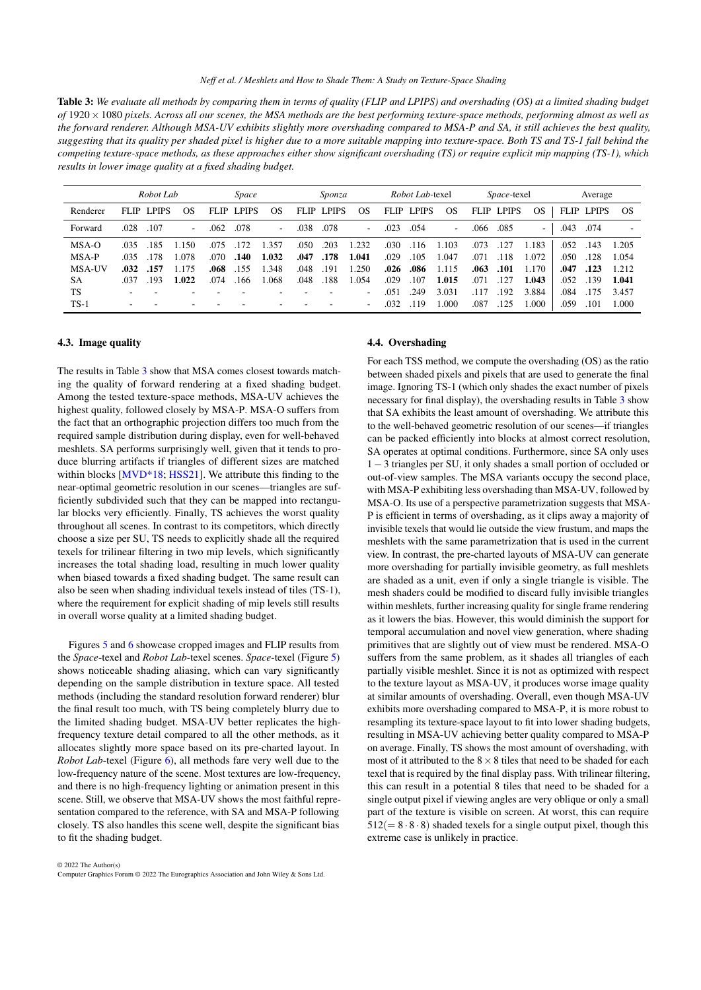<span id="page-8-1"></span><span id="page-8-0"></span>

| <b>Table 3:</b> We evaluate all methods by comparing them in terms of quality (FLIP and LPIPS) and overshading (OS) at a limited shading budget  |
|--------------------------------------------------------------------------------------------------------------------------------------------------|
| of $1920 \times 1080$ pixels. Across all our scenes, the MSA methods are the best performing texture-space methods, performing almost as well as |
| the forward renderer. Although MSA-UV exhibits slightly more overshading compared to MSA-P and SA, it still achieves the best quality,           |
| suggesting that its quality per shaded pixel is higher due to a more suitable mapping into texture-space. Both TS and TS-1 fall behind the       |
| competing texture-space methods, as these approaches either show significant overshading (TS) or require explicit mip mapping (TS-1), which      |
| results in lower image quality at a fixed shading budget.                                                                                        |

|               |       | Robot Lab    |                          |       | Space        |        |      | Sponza            |                          |             | <i>Robot Lab-texel</i> |                          |             | <i>Space-texel</i> |                          |      | Average           |           |
|---------------|-------|--------------|--------------------------|-------|--------------|--------|------|-------------------|--------------------------|-------------|------------------------|--------------------------|-------------|--------------------|--------------------------|------|-------------------|-----------|
| Renderer      | FLIP. | <b>LPIPS</b> | OS                       | FLIP. | <b>LPIPS</b> | OS.    |      | <b>FLIP LPIPS</b> | <b>OS</b>                | <b>FLIP</b> | LPIPS                  | OS                       | <b>FLIP</b> | <b>LPIPS</b>       | OS                       |      | <b>FLIP LPIPS</b> | <b>OS</b> |
| Forward       | .028  | .107         | $\overline{\phantom{0}}$ | .062  | .078         | $\sim$ | .038 | .078              | $\overline{\phantom{a}}$ | .023        | .054                   | $\overline{\phantom{a}}$ | .066        | .085               | $\overline{\phantom{a}}$ | .043 | .074              |           |
| MSA-O         | .035  | .185         | 1.150                    | .075  | .172         | 1.357  | .050 | .203              | 1.232                    | .030        | .116                   | 1.103                    | .073        | .127               | 1.183                    | .052 | .143              | 1.205     |
| MSA-P         | .035  | .178         | .078                     | .070  | .140         | 1.032  | .047 | .178              | 1.041                    | .029        | .105                   | 1.047                    | .071        | 118                | 1.072                    | .050 | .128              | 1.054     |
| <b>MSA-UV</b> | .032  | .157         | 1.175                    | .068  | .155         | 1.348  | .048 | .191              | 1.250                    | .026        | .086                   | 1.115                    | .063        | .101               | 1.170                    | .047 | .123              | 1.212     |
| <b>SA</b>     | .037  | -193         | 1.022                    | .074  | 166          | .068   | .048 | .188              | 1.054                    | .029        | .107                   | 1.015                    | .071        | 127                | 1.043                    | .052 | .139              | 1.041     |
| TS            |       |              |                          |       |              |        |      |                   | $\overline{\phantom{a}}$ | .051        | .249                   | 3.031                    | .117        | 192                | 3.884                    | .084 | .175              | 3.457     |
| $TS-1$        |       |              |                          |       |              |        |      |                   | $\overline{\phantom{a}}$ | .032        | .119                   | 000.                     | .087        | .125               | 000.1                    | .059 | .101              | 1.000     |

## 4.3. Image quality

The results in Table [3](#page-8-0) show that MSA comes closest towards matching the quality of forward rendering at a fixed shading budget. Among the tested texture-space methods, MSA-UV achieves the highest quality, followed closely by MSA-P. MSA-O suffers from the fact that an orthographic projection differs too much from the required sample distribution during display, even for well-behaved meshlets. SA performs surprisingly well, given that it tends to produce blurring artifacts if triangles of different sizes are matched within blocks [\[MVD\\*18;](#page-10-9) [HSS21\]](#page-10-16). We attribute this finding to the near-optimal geometric resolution in our scenes—triangles are sufficiently subdivided such that they can be mapped into rectangular blocks very efficiently. Finally, TS achieves the worst quality throughout all scenes. In contrast to its competitors, which directly choose a size per SU, TS needs to explicitly shade all the required texels for trilinear filtering in two mip levels, which significantly increases the total shading load, resulting in much lower quality when biased towards a fixed shading budget. The same result can also be seen when shading individual texels instead of tiles (TS-1), where the requirement for explicit shading of mip levels still results in overall worse quality at a limited shading budget.

Figures [5](#page-7-2) and [6](#page-7-3) showcase cropped images and FLIP results from the *Space*-texel and *Robot Lab*-texel scenes. *Space*-texel (Figure [5\)](#page-7-2) shows noticeable shading aliasing, which can vary significantly depending on the sample distribution in texture space. All tested methods (including the standard resolution forward renderer) blur the final result too much, with TS being completely blurry due to the limited shading budget. MSA-UV better replicates the highfrequency texture detail compared to all the other methods, as it allocates slightly more space based on its pre-charted layout. In *Robot Lab*-texel (Figure [6\)](#page-7-3), all methods fare very well due to the low-frequency nature of the scene. Most textures are low-frequency, and there is no high-frequency lighting or animation present in this scene. Still, we observe that MSA-UV shows the most faithful representation compared to the reference, with SA and MSA-P following closely. TS also handles this scene well, despite the significant bias to fit the shading budget.

#### © 2022 The Author(s) Computer Graphics Forum © 2022 The Eurographics Association and John Wiley & Sons Ltd.

## 4.4. Overshading

For each TSS method, we compute the overshading (OS) as the ratio between shaded pixels and pixels that are used to generate the final image. Ignoring TS-1 (which only shades the exact number of pixels necessary for final display), the overshading results in Table [3](#page-8-0) show that SA exhibits the least amount of overshading. We attribute this to the well-behaved geometric resolution of our scenes—if triangles can be packed efficiently into blocks at almost correct resolution, SA operates at optimal conditions. Furthermore, since SA only uses 1−3 triangles per SU, it only shades a small portion of occluded or out-of-view samples. The MSA variants occupy the second place, with MSA-P exhibiting less overshading than MSA-UV, followed by MSA-O. Its use of a perspective parametrization suggests that MSA-P is efficient in terms of overshading, as it clips away a majority of invisible texels that would lie outside the view frustum, and maps the meshlets with the same parametrization that is used in the current view. In contrast, the pre-charted layouts of MSA-UV can generate more overshading for partially invisible geometry, as full meshlets are shaded as a unit, even if only a single triangle is visible. The mesh shaders could be modified to discard fully invisible triangles within meshlets, further increasing quality for single frame rendering as it lowers the bias. However, this would diminish the support for temporal accumulation and novel view generation, where shading primitives that are slightly out of view must be rendered. MSA-O suffers from the same problem, as it shades all triangles of each partially visible meshlet. Since it is not as optimized with respect to the texture layout as MSA-UV, it produces worse image quality at similar amounts of overshading. Overall, even though MSA-UV exhibits more overshading compared to MSA-P, it is more robust to resampling its texture-space layout to fit into lower shading budgets, resulting in MSA-UV achieving better quality compared to MSA-P on average. Finally, TS shows the most amount of overshading, with most of it attributed to the  $8 \times 8$  tiles that need to be shaded for each texel that is required by the final display pass. With trilinear filtering, this can result in a potential 8 tiles that need to be shaded for a single output pixel if viewing angles are very oblique or only a small part of the texture is visible on screen. At worst, this can require  $512(= 8.8.8)$  shaded texels for a single output pixel, though this extreme case is unlikely in practice.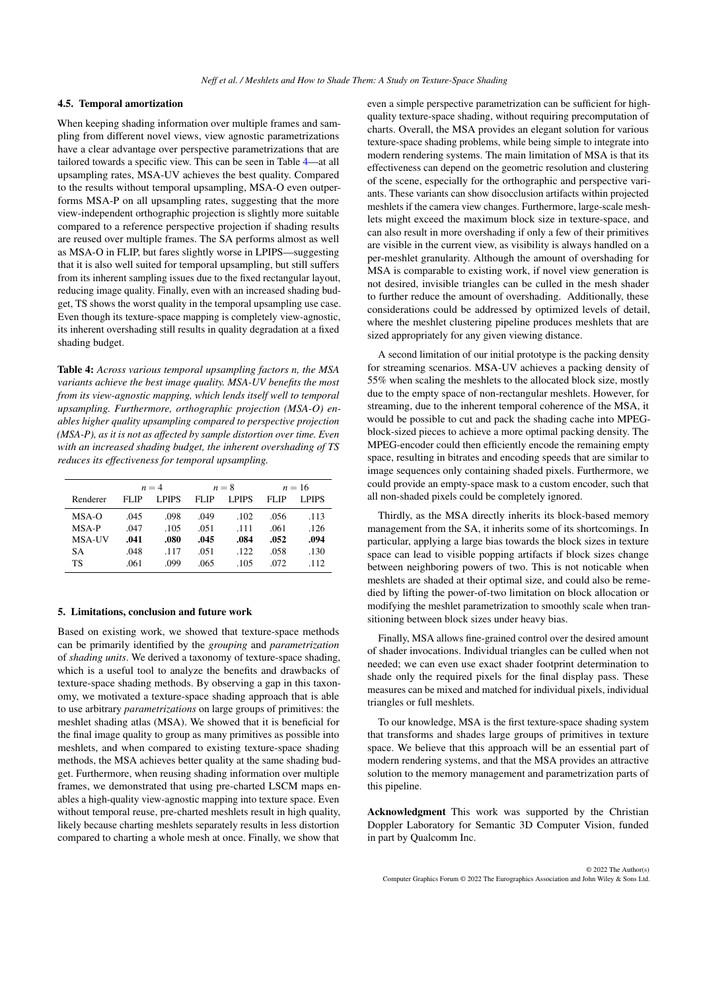## 4.5. Temporal amortization

When keeping shading information over multiple frames and sampling from different novel views, view agnostic parametrizations have a clear advantage over perspective parametrizations that are tailored towards a specific view. This can be seen in Table [4—](#page-9-0)at all upsampling rates, MSA-UV achieves the best quality. Compared to the results without temporal upsampling, MSA-O even outperforms MSA-P on all upsampling rates, suggesting that the more view-independent orthographic projection is slightly more suitable compared to a reference perspective projection if shading results are reused over multiple frames. The SA performs almost as well as MSA-O in FLIP, but fares slightly worse in LPIPS—suggesting that it is also well suited for temporal upsampling, but still suffers from its inherent sampling issues due to the fixed rectangular layout, reducing image quality. Finally, even with an increased shading budget, TS shows the worst quality in the temporal upsampling use case. Even though its texture-space mapping is completely view-agnostic, its inherent overshading still results in quality degradation at a fixed shading budget.

<span id="page-9-0"></span>Table 4: *Across various temporal upsampling factors n, the MSA variants achieve the best image quality. MSA-UV benefits the most from its view-agnostic mapping, which lends itself well to temporal upsampling. Furthermore, orthographic projection (MSA-O) enables higher quality upsampling compared to perspective projection (MSA-P), as it is not as affected by sample distortion over time. Even with an increased shading budget, the inherent overshading of TS reduces its effectiveness for temporal upsampling.*

|               |                      | $n = 4$ |       | $n=8$  | $n=16$ |        |  |
|---------------|----------------------|---------|-------|--------|--------|--------|--|
| Renderer      | <b>LPIPS</b><br>FLIP |         | FL IP | LPIPS  | FLIP   | L PIPS |  |
| $MSA-O$       | .045                 | .098    | .049  | .102   | .056   | .113   |  |
| MSA-P         | .047                 | .105    | .051  | $-111$ | .061   | .126   |  |
| <b>MSA-UV</b> | .041                 | .080    | .045  | .084   | .052   | .094   |  |
| SА            | .048                 | .117    | .051  | .122   | .058   | .130   |  |
| TS            | .061                 | .099    | .065  | .105   | .072   | .112   |  |

#### 5. Limitations, conclusion and future work

Based on existing work, we showed that texture-space methods can be primarily identified by the *grouping* and *parametrization* of *shading units*. We derived a taxonomy of texture-space shading, which is a useful tool to analyze the benefits and drawbacks of texture-space shading methods. By observing a gap in this taxonomy, we motivated a texture-space shading approach that is able to use arbitrary *parametrizations* on large groups of primitives: the meshlet shading atlas (MSA). We showed that it is beneficial for the final image quality to group as many primitives as possible into meshlets, and when compared to existing texture-space shading methods, the MSA achieves better quality at the same shading budget. Furthermore, when reusing shading information over multiple frames, we demonstrated that using pre-charted LSCM maps enables a high-quality view-agnostic mapping into texture space. Even without temporal reuse, pre-charted meshlets result in high quality, likely because charting meshlets separately results in less distortion compared to charting a whole mesh at once. Finally, we show that

even a simple perspective parametrization can be sufficient for highquality texture-space shading, without requiring precomputation of charts. Overall, the MSA provides an elegant solution for various texture-space shading problems, while being simple to integrate into modern rendering systems. The main limitation of MSA is that its effectiveness can depend on the geometric resolution and clustering of the scene, especially for the orthographic and perspective variants. These variants can show disocclusion artifacts within projected meshlets if the camera view changes. Furthermore, large-scale meshlets might exceed the maximum block size in texture-space, and can also result in more overshading if only a few of their primitives are visible in the current view, as visibility is always handled on a per-meshlet granularity. Although the amount of overshading for MSA is comparable to existing work, if novel view generation is not desired, invisible triangles can be culled in the mesh shader to further reduce the amount of overshading. Additionally, these considerations could be addressed by optimized levels of detail, where the meshlet clustering pipeline produces meshlets that are sized appropriately for any given viewing distance.

A second limitation of our initial prototype is the packing density for streaming scenarios. MSA-UV achieves a packing density of 55% when scaling the meshlets to the allocated block size, mostly due to the empty space of non-rectangular meshlets. However, for streaming, due to the inherent temporal coherence of the MSA, it would be possible to cut and pack the shading cache into MPEGblock-sized pieces to achieve a more optimal packing density. The MPEG-encoder could then efficiently encode the remaining empty space, resulting in bitrates and encoding speeds that are similar to image sequences only containing shaded pixels. Furthermore, we could provide an empty-space mask to a custom encoder, such that all non-shaded pixels could be completely ignored.

Thirdly, as the MSA directly inherits its block-based memory management from the SA, it inherits some of its shortcomings. In particular, applying a large bias towards the block sizes in texture space can lead to visible popping artifacts if block sizes change between neighboring powers of two. This is not noticable when meshlets are shaded at their optimal size, and could also be remedied by lifting the power-of-two limitation on block allocation or modifying the meshlet parametrization to smoothly scale when transitioning between block sizes under heavy bias.

Finally, MSA allows fine-grained control over the desired amount of shader invocations. Individual triangles can be culled when not needed; we can even use exact shader footprint determination to shade only the required pixels for the final display pass. These measures can be mixed and matched for individual pixels, individual triangles or full meshlets.

To our knowledge, MSA is the first texture-space shading system that transforms and shades large groups of primitives in texture space. We believe that this approach will be an essential part of modern rendering systems, and that the MSA provides an attractive solution to the memory management and parametrization parts of this pipeline.

Acknowledgment This work was supported by the Christian Doppler Laboratory for Semantic 3D Computer Vision, funded in part by Qualcomm Inc.